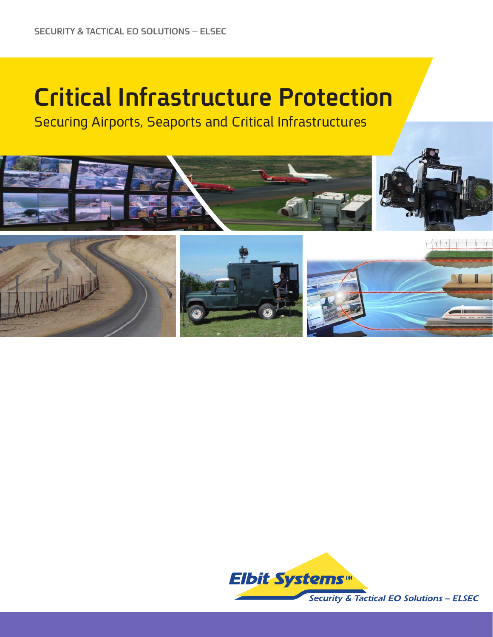# **Critical Infrastructure Protection**

**Securing Airports, Seaports and Critical Infrastructures** 



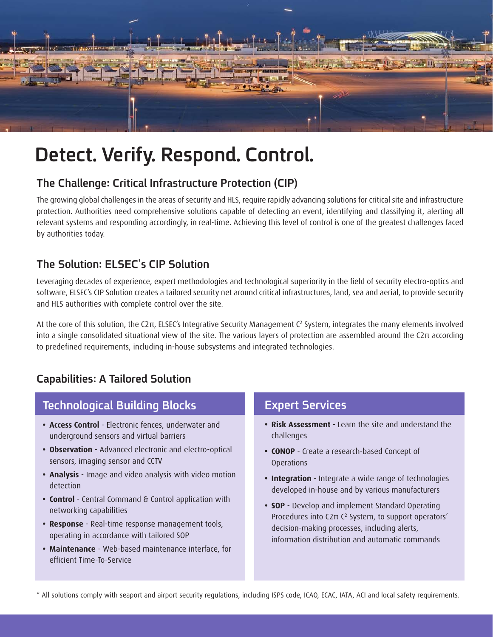

# Detect. Verify. Respond. Control.

### The Challenge: Critical Infrastructure Protection (CIP)

The growing global challenges in the areas of security and HLS, require rapidly advancing solutions for critical site and infrastructure protection. Authorities need comprehensive solutions capable of detecting an event, identifying and classifying it, alerting all relevant systems and responding accordingly, in real-time. Achieving this level of control is one of the greatest challenges faced by authorities today.

#### **The Solution: ELSEC's CIP Solution**

Leveraging decades of experience, expert methodologies and technological superiority in the field of security electro-optics and software, ELSEC's CIP Solution creates a tailored security net around critical infrastructures, land, sea and aerial, to provide security and HLS authorities with complete control over the site.

At the core of this solution, the C2π, ELSEC's Integrative Security Management C<sup>2</sup> System, integrates the many elements involved into a single consolidated situational view of the site. The various layers of protection are assembled around the  $C2\pi$  according to predefined requirements, including in-house subsystems and integrated technologies.

### **Capabilities: A Tailored Solution**

## **Technological Building Blocks**

- Access Control Electronic fences, underwater and underground sensors and virtual barriers
- Observation Advanced electronic and electro-optical sensors, imaging sensor and CCTV
- **Analysis** Image and video analysis with video motion detection
- **Control** Central Command & Control application with networking capabilities
- **Response** Real-time response management tools, operating in accordance with tailored SOP
- **Maintenance** Web-based maintenance interface, for efficient Time-To-Service

#### **Expert Services**

- **Risk Assessment** Learn the site and understand the challenges
- CONOP Create a research-based Concept of Operations
- **Integration** Integrate a wide range of technologies developed in-house and by various manufacturers
- **SOP** Develop and implement Standard Operating Procedures into C2π C<sup>2</sup> System, to support operators' decision-making processes, including alerts, information distribution and automatic commands

\* All solutions comply with seaport and airport security regulations, including ISPS code, ICAO, ECAC, IATA, ACI and local safety requirements.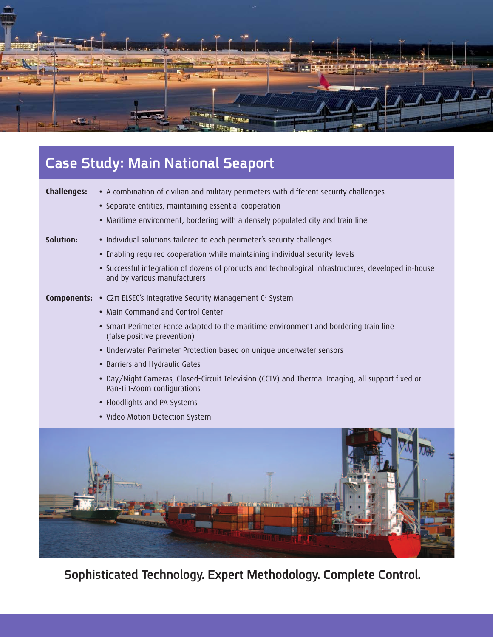

# **Case Study: Main National Seaport**

| <b>Challenges:</b> | • A combination of civilian and military perimeters with different security challenges                                               |
|--------------------|--------------------------------------------------------------------------------------------------------------------------------------|
|                    | • Separate entities, maintaining essential cooperation                                                                               |
|                    | • Maritime environment, bordering with a densely populated city and train line                                                       |
| Solution:          | • Individual solutions tailored to each perimeter's security challenges                                                              |
|                    | • Enabling required cooperation while maintaining individual security levels                                                         |
|                    | • Successful integration of dozens of products and technological infrastructures, developed in-house<br>and by various manufacturers |
|                    | <b>Components:</b> • C2π ELSEC's Integrative Security Management C <sup>2</sup> System                                               |
|                    | • Main Command and Control Center                                                                                                    |
|                    | • Smart Perimeter Fence adapted to the maritime environment and bordering train line<br>(false positive prevention)                  |
|                    | • Underwater Perimeter Protection based on unique underwater sensors                                                                 |
|                    | • Barriers and Hydraulic Gates                                                                                                       |
|                    | . Day/Night Cameras, Closed-Circuit Television (CCTV) and Thermal Imaging, all support fixed or<br>Pan-Tilt-Zoom configurations      |
|                    | • Floodlights and PA Systems                                                                                                         |
|                    | • Video Motion Detection System                                                                                                      |
|                    |                                                                                                                                      |



Sophisticated Technology. Expert Methodology. Complete Control.